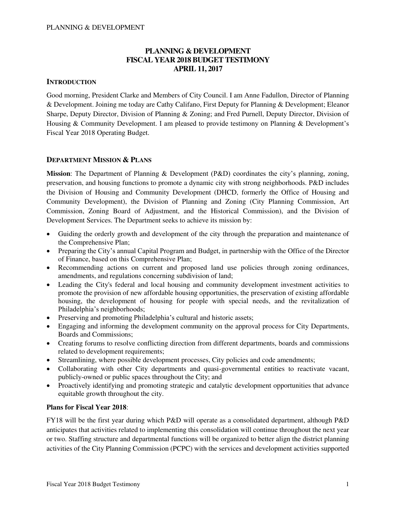# **PLANNING & DEVELOPMENT FISCAL YEAR 2018 BUDGET TESTIMONY APRIL 11, 2017**

### **INTRODUCTION**

Good morning, President Clarke and Members of City Council. I am Anne Fadullon, Director of Planning & Development. Joining me today are Cathy Califano, First Deputy for Planning & Development; Eleanor Sharpe, Deputy Director, Division of Planning & Zoning; and Fred Purnell, Deputy Director, Division of Housing & Community Development. I am pleased to provide testimony on Planning & Development's Fiscal Year 2018 Operating Budget.

#### **DEPARTMENT MISSION & PLANS**

**Mission**: The Department of Planning & Development (P&D) coordinates the city's planning, zoning, preservation, and housing functions to promote a dynamic city with strong neighborhoods. P&D includes the Division of Housing and Community Development (DHCD, formerly the Office of Housing and Community Development), the Division of Planning and Zoning (City Planning Commission, Art Commission, Zoning Board of Adjustment, and the Historical Commission), and the Division of Development Services. The Department seeks to achieve its mission by:

- Guiding the orderly growth and development of the city through the preparation and maintenance of the Comprehensive Plan;
- Preparing the City's annual Capital Program and Budget, in partnership with the Office of the Director of Finance, based on this Comprehensive Plan;
- Recommending actions on current and proposed land use policies through zoning ordinances, amendments, and regulations concerning subdivision of land;
- Leading the City's federal and local housing and community development investment activities to promote the provision of new affordable housing opportunities, the preservation of existing affordable housing, the development of housing for people with special needs, and the revitalization of Philadelphia's neighborhoods;
- Preserving and promoting Philadelphia's cultural and historic assets;
- Engaging and informing the development community on the approval process for City Departments, Boards and Commissions;
- Creating forums to resolve conflicting direction from different departments, boards and commissions related to development requirements;
- Streamlining, where possible development processes, City policies and code amendments;
- Collaborating with other City departments and quasi-governmental entities to reactivate vacant, publicly-owned or public spaces throughout the City; and
- Proactively identifying and promoting strategic and catalytic development opportunities that advance equitable growth throughout the city.

#### **Plans for Fiscal Year 2018**:

FY18 will be the first year during which P&D will operate as a consolidated department, although P&D anticipates that activities related to implementing this consolidation will continue throughout the next year or two. Staffing structure and departmental functions will be organized to better align the district planning activities of the City Planning Commission (PCPC) with the services and development activities supported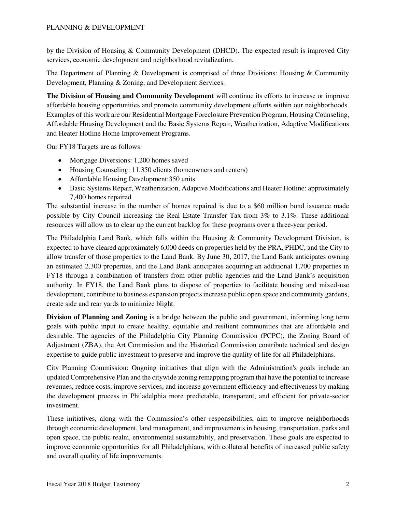by the Division of Housing & Community Development (DHCD). The expected result is improved City services, economic development and neighborhood revitalization.

The Department of Planning & Development is comprised of three Divisions: Housing & Community Development, Planning & Zoning, and Development Services.

**The Division of Housing and Community Development** will continue its efforts to increase or improve affordable housing opportunities and promote community development efforts within our neighborhoods. Examples of this work are our Residential Mortgage Foreclosure Prevention Program, Housing Counseling, Affordable Housing Development and the Basic Systems Repair, Weatherization, Adaptive Modifications and Heater Hotline Home Improvement Programs.

Our FY18 Targets are as follows:

- Mortgage Diversions: 1,200 homes saved
- Housing Counseling: 11,350 clients (homeowners and renters)
- Affordable Housing Development:350 units
- Basic Systems Repair, Weatherization, Adaptive Modifications and Heater Hotline: approximately 7,400 homes repaired

The substantial increase in the number of homes repaired is due to a \$60 million bond issuance made possible by City Council increasing the Real Estate Transfer Tax from 3% to 3.1%. These additional resources will allow us to clear up the current backlog for these programs over a three-year period.

The Philadelphia Land Bank, which falls within the Housing & Community Development Division, is expected to have cleared approximately 6,000 deeds on properties held by the PRA, PHDC, and the City to allow transfer of those properties to the Land Bank. By June 30, 2017, the Land Bank anticipates owning an estimated 2,300 properties, and the Land Bank anticipates acquiring an additional 1,700 properties in FY18 through a combination of transfers from other public agencies and the Land Bank's acquisition authority. In FY18, the Land Bank plans to dispose of properties to facilitate housing and mixed-use development, contribute to business expansion projects increase public open space and community gardens, create side and rear yards to minimize blight.

**Division of Planning and Zoning** is a bridge between the public and government, informing long term goals with public input to create healthy, equitable and resilient communities that are affordable and desirable. The agencies of the Philadelphia City Planning Commission (PCPC), the Zoning Board of Adjustment (ZBA), the Art Commission and the Historical Commission contribute technical and design expertise to guide public investment to preserve and improve the quality of life for all Philadelphians.

City Planning Commission: Ongoing initiatives that align with the Administration's goals include an updated Comprehensive Plan and the citywide zoning remapping program that have the potential to increase revenues, reduce costs, improve services, and increase government efficiency and effectiveness by making the development process in Philadelphia more predictable, transparent, and efficient for private-sector investment.

These initiatives, along with the Commission's other responsibilities, aim to improve neighborhoods through economic development, land management, and improvements in housing, transportation, parks and open space, the public realm, environmental sustainability, and preservation. These goals are expected to improve economic opportunities for all Philadelphians, with collateral benefits of increased public safety and overall quality of life improvements.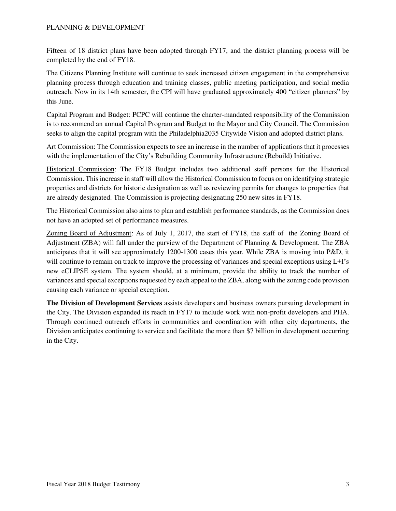Fifteen of 18 district plans have been adopted through FY17, and the district planning process will be completed by the end of FY18.

The Citizens Planning Institute will continue to seek increased citizen engagement in the comprehensive planning process through education and training classes, public meeting participation, and social media outreach. Now in its 14th semester, the CPI will have graduated approximately 400 "citizen planners" by this June.

Capital Program and Budget: PCPC will continue the charter-mandated responsibility of the Commission is to recommend an annual Capital Program and Budget to the Mayor and City Council. The Commission seeks to align the capital program with the Philadelphia2035 Citywide Vision and adopted district plans.

Art Commission: The Commission expects to see an increase in the number of applications that it processes with the implementation of the City's Rebuilding Community Infrastructure (Rebuild) Initiative.

Historical Commission: The FY18 Budget includes two additional staff persons for the Historical Commission. This increase in staff will allow the Historical Commission to focus on on identifying strategic properties and districts for historic designation as well as reviewing permits for changes to properties that are already designated. The Commission is projecting designating 250 new sites in FY18.

The Historical Commission also aims to plan and establish performance standards, as the Commission does not have an adopted set of performance measures.

Zoning Board of Adjustment: As of July 1, 2017, the start of FY18, the staff of the Zoning Board of Adjustment (ZBA) will fall under the purview of the Department of Planning & Development. The ZBA anticipates that it will see approximately 1200-1300 cases this year. While ZBA is moving into P&D, it will continue to remain on track to improve the processing of variances and special exceptions using L+I's new eCLIPSE system. The system should, at a minimum, provide the ability to track the number of variances and special exceptions requested by each appeal to the ZBA, along with the zoning code provision causing each variance or special exception.

**The Division of Development Services** assists developers and business owners pursuing development in the City. The Division expanded its reach in FY17 to include work with non-profit developers and PHA. Through continued outreach efforts in communities and coordination with other city departments, the Division anticipates continuing to service and facilitate the more than \$7 billion in development occurring in the City.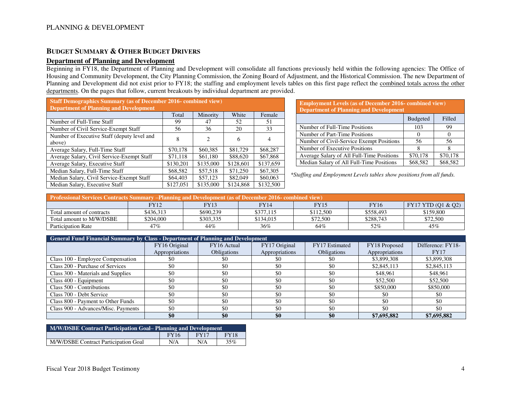#### **BUDGET SUMMARY & OTHER BUDGET DRIVERS**

#### **Department of Planning and Development**

Beginning in FY18, the Department of Planning and Development will consolidate all functions previously held within the following agencies: The Office of Housing and Community Development, the City Planning Commission, the Zoning Board of Adjustment, and the Historical Commission. The new Department of Planning and Development did not exist prior to FY18; the staffing and employment levels tables on this first page reflect the combined totals across the other departments. On the pages that follow, current breakouts by individual department are provided.

| <b>Staff Demographics Summary (as of December 2016-combined view)</b> |           |           |           |           |  |  |  |  |
|-----------------------------------------------------------------------|-----------|-----------|-----------|-----------|--|--|--|--|
| <b>Department of Planning and Development</b>                         |           |           |           |           |  |  |  |  |
|                                                                       | Total     | Minority  | White     | Female    |  |  |  |  |
| Number of Full-Time Staff                                             | 99        | 47        | 52        | 51        |  |  |  |  |
| Number of Civil Service-Exempt Staff                                  | 56        | 36        | 20        | 33        |  |  |  |  |
| Number of Executive Staff (deputy level and                           | 8         | 2         | 6         | 4         |  |  |  |  |
| above)                                                                |           |           |           |           |  |  |  |  |
| Average Salary, Full-Time Staff                                       | \$70,178  | \$60,385  | \$81,729  | \$68,287  |  |  |  |  |
| Average Salary, Civil Service-Exempt Staff                            | \$71.118  | \$61,180  | \$88,620  | \$67,868  |  |  |  |  |
| Average Salary, Executive Staff                                       | \$130,201 | \$135,000 | \$128,601 | \$137,659 |  |  |  |  |
| Median Salary, Full-Time Staff                                        | \$68,582  | \$57,518  | \$71,250  | \$67,305  |  |  |  |  |
| Median Salary, Civil Service-Exempt Staff                             | \$64,403  | \$57,123  | \$82,049  | \$60,063  |  |  |  |  |
| Median Salary, Executive Staff                                        | \$127,051 | \$135,000 | \$124,868 | \$132,500 |  |  |  |  |

**Employment Levels (as of December 2016- combined view) Department of Planning and Development**  Budgeted Filled Number of Full-Time Positions 103 99 Number of Part-Time Positions 0 0 Number of Civil-Service Exempt Positions 56 56 Number of Executive Positions 8 8 Average Salary of All Full-Time Positions | \$70,178 | \$70,178 Median Salary of All Full-Time Positions  $\begin{array}{|l} \n\end{array}$  \$68,582  $\begin{array}{|l} \n\end{array}$  \$68,582

*\*Staffing and Employment Levels tables show positions from all funds.*

| <b>Professional Services Contracts Summary –Planning and Development (as of December 2016- combined view)</b> |           |           |             |           |             |                    |  |  |
|---------------------------------------------------------------------------------------------------------------|-----------|-----------|-------------|-----------|-------------|--------------------|--|--|
|                                                                                                               | FY12      | FY13      | <b>FY14</b> | FY15      | <b>FY16</b> | FY17 YTD (Q1 & Q2) |  |  |
| Total amount of contracts                                                                                     | \$436.313 | \$690.239 | \$377.115   | \$112.500 | \$558,493   | \$159,800          |  |  |
| Total amount to M/W/DSBE                                                                                      | \$204.000 | \$303.335 | \$134.015   | \$72,500  | \$288.743   | \$72,500           |  |  |
| <b>Participation Rate</b>                                                                                     | 47%       | 44%       | 36%         | 64%       | 52%         | 45%                |  |  |

| <b>General Fund Financial Summary by Class - Department of Planning and Development</b> |                |                    |                |                    |                |                   |  |  |
|-----------------------------------------------------------------------------------------|----------------|--------------------|----------------|--------------------|----------------|-------------------|--|--|
|                                                                                         | FY16 Original  | FY16 Actual        | FY17 Original  | FY17 Estimated     | FY18 Proposed  | Difference: FY18- |  |  |
|                                                                                         | Appropriations | <b>Obligations</b> | Appropriations | <b>Obligations</b> | Appropriations | <b>FY17</b>       |  |  |
| Class 100 - Employee Compensation                                                       | SO.            | \$0                | \$0            | -\$0               | \$3,899,308    | \$3,899,308       |  |  |
| Class 200 - Purchase of Services                                                        | \$0            | \$0                | \$0            | \$0                | \$2,845,113    | \$2,845,113       |  |  |
| Class 300 - Materials and Supplies                                                      | \$0            | \$0                | \$0            | \$0                | \$48,961       | \$48,961          |  |  |
| Class 400 - Equipment                                                                   | \$0            | \$0                | \$0            | \$0                | \$52,500       | \$52,500          |  |  |
| Class 500 - Contributions                                                               | \$0            | \$0                | \$0            | \$0                | \$850,000      | \$850,000         |  |  |
| Class 700 - Debt Service                                                                | \$0            | \$0                | \$0            | \$0                | \$0            | \$0               |  |  |
| Class 800 - Payment to Other Funds                                                      | \$0            | \$0                | \$0            | \$0                | \$0            | \$0               |  |  |
| Class 900 - Advances/Misc. Payments                                                     | \$0            | \$0                | \$0            | \$0                | \$0            | \$0               |  |  |
|                                                                                         | \$0            | \$0                | \$0            | \$0                | \$7,695,882    | \$7,695,882       |  |  |

| M/W/DSBE Contract Participation Goal– Planning and Development |             |             |             |  |  |  |
|----------------------------------------------------------------|-------------|-------------|-------------|--|--|--|
|                                                                | <b>FY16</b> | <b>FY17</b> | <b>FY18</b> |  |  |  |
| M/W/DSBE Contract Participation Goal                           | N/A         | N/A         | 35%         |  |  |  |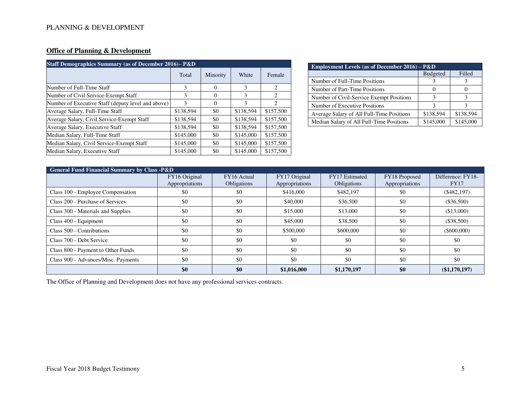# **Office of Planning & Development**

| <b>Staff Demographics Summary (as of December 2016)– P&amp;D</b> |           |          |               |                               |  |  |  |
|------------------------------------------------------------------|-----------|----------|---------------|-------------------------------|--|--|--|
|                                                                  | Total     | Minority | White         | Female                        |  |  |  |
| Number of Full-Time Staff                                        | 3         | $\Omega$ | 3             | $\overline{c}$                |  |  |  |
| Number of Civil Service-Exempt Staff                             | 3         | 0        | 3             | 2                             |  |  |  |
| Number of Executive Staff (deputy level and above)               | 3         | $\Omega$ | $\mathcal{E}$ | $\mathfrak{D}_{\mathfrak{p}}$ |  |  |  |
| Average Salary, Full-Time Staff                                  | \$138,594 | \$0      | \$138,594     | \$157,500                     |  |  |  |
| Average Salary, Civil Service-Exempt Staff                       | \$138,594 | \$0      | \$138,594     | \$157,500                     |  |  |  |
| Average Salary, Executive Staff                                  | \$138,594 | \$0      | \$138,594     | \$157,500                     |  |  |  |
| Median Salary, Full-Time Staff                                   | \$145,000 | \$0      | \$145,000     | \$157,500                     |  |  |  |
| Median Salary, Civil Service-Exempt Staff                        | \$145,000 | \$0      | \$145,000     | \$157,500                     |  |  |  |
| Median Salary, Executive Staff                                   | \$145,000 | \$0      | \$145,000     | \$157,500                     |  |  |  |

| <b>Employment Levels (as of December 2016)</b> – $P&D$ |                 |           |  |  |  |  |
|--------------------------------------------------------|-----------------|-----------|--|--|--|--|
|                                                        | <b>Budgeted</b> | Filled    |  |  |  |  |
| Number of Full-Time Positions                          |                 |           |  |  |  |  |
| Number of Part-Time Positions                          |                 |           |  |  |  |  |
| Number of Civil-Service Exempt Positions               | ٦               |           |  |  |  |  |
| Number of Executive Positions                          | 3               |           |  |  |  |  |
| Average Salary of All Full-Time Positions              | \$138,594       | \$138,594 |  |  |  |  |
| Median Salary of All Full-Time Positions               | \$145,000       | \$145,000 |  |  |  |  |

| <b>General Fund Financial Summary by Class -P&amp;D</b> |                                 |                                   |                                 |                               |                                 |                                  |  |
|---------------------------------------------------------|---------------------------------|-----------------------------------|---------------------------------|-------------------------------|---------------------------------|----------------------------------|--|
|                                                         | FY16 Original<br>Appropriations | FY16 Actual<br><b>Obligations</b> | FY17 Original<br>Appropriations | FY17 Estimated<br>Obligations | FY18 Proposed<br>Appropriations | Difference: FY18-<br><b>FY17</b> |  |
| Class 100 - Employee Compensation                       | \$0                             | \$0                               | \$416,000                       | \$482,197                     | \$0                             | $(\$482,197)$                    |  |
| Class 200 - Purchase of Services                        | \$0                             | \$0                               | \$40,000                        | \$36,500                      | \$0                             | $(\$36,500)$                     |  |
| Class 300 - Materials and Supplies                      | \$0                             | \$0                               | \$15,000                        | \$13,000                      | \$0                             | (\$13,000)                       |  |
| Class 400 - Equipment                                   | \$0                             | \$0                               | \$45,000                        | \$38,500                      | \$0                             | (\$38,500)                       |  |
| Class 500 - Contributions                               | \$0                             | \$0                               | \$500,000                       | \$600,000                     | \$0                             | $(\$600,000)$                    |  |
| Class 700 - Debt Service                                | \$0                             | \$0                               | \$0                             | \$0                           | \$0                             | \$0                              |  |
| Class 800 - Payment to Other Funds                      | \$0                             | \$0                               | \$0                             | \$0                           | \$0                             | \$0                              |  |
| Class 900 - Advances/Misc. Payments                     | \$0                             | \$0                               | \$0                             | \$0                           | \$0                             | \$0                              |  |
|                                                         | \$0                             | \$0                               | \$1,016,000                     | \$1,170,197                   | \$0                             | (\$1,170,197)                    |  |

The Office of Planning and Development does not have any professional services contracts.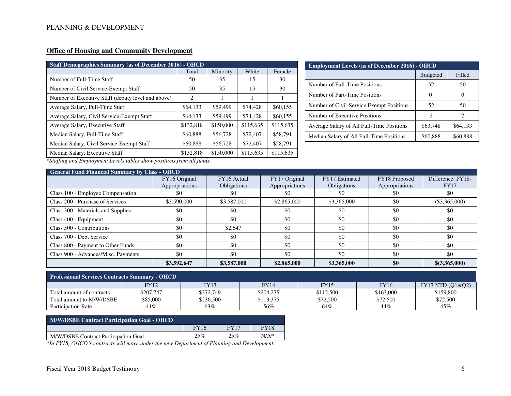# **Office of Housing and Community Development**

| <b>Staff Demographics Summary (as of December 2016) - OHCD</b> |           |           |           |           |  |  |  |
|----------------------------------------------------------------|-----------|-----------|-----------|-----------|--|--|--|
|                                                                | Total     | Minority  | White     | Female    |  |  |  |
| Number of Full-Time Staff                                      | 50        | 35        | 15        | 30        |  |  |  |
| Number of Civil Service-Exempt Staff                           | 50        | 35        | 15        | 30        |  |  |  |
| Number of Executive Staff (deputy level and above)             | 2         | 1         |           |           |  |  |  |
| Average Salary, Full-Time Staff                                | \$64,133  | \$59,499  | \$74,428  | \$60,155  |  |  |  |
| Average Salary, Civil Service-Exempt Staff                     | \$64,133  | \$59,499  | \$74,428  | \$60,155  |  |  |  |
| Average Salary, Executive Staff                                | \$132,818 | \$150,000 | \$115,635 | \$115,635 |  |  |  |
| Median Salary, Full-Time Staff                                 | \$60,888  | \$56,728  | \$72,407  | \$58,791  |  |  |  |
| Median Salary, Civil Service-Exempt Staff                      | \$60,888  | \$56,728  | \$72,407  | \$58,791  |  |  |  |
| Median Salary, Executive Staff                                 | \$132,818 | \$150,000 | \$115,635 | \$115,635 |  |  |  |

| <b>Employment Levels (as of December 2016) - OHCD</b> |                 |                             |  |  |  |
|-------------------------------------------------------|-----------------|-----------------------------|--|--|--|
|                                                       | <b>Budgeted</b> |                             |  |  |  |
| Number of Full-Time Positions                         | 52              | 50                          |  |  |  |
| Number of Part-Time Positions                         | $\mathcal{O}$   | $\theta$                    |  |  |  |
| Number of Civil-Service Exempt Positions              | 52              | 50                          |  |  |  |
| Number of Executive Positions                         | 2               | $\mathcal{D}_{\mathcal{L}}$ |  |  |  |
| Average Salary of All Full-Time Positions             | \$63,748        | \$64,133                    |  |  |  |
| Median Salary of All Full-Time Positions              | \$60,888        | \$60,888                    |  |  |  |

*\*Staffing and Employment Levels tables show positions from all funds.*

| <b>General Fund Financial Summary by Class - OHCD</b> |                                 |                                   |                                 |                               |                                 |                                  |  |  |
|-------------------------------------------------------|---------------------------------|-----------------------------------|---------------------------------|-------------------------------|---------------------------------|----------------------------------|--|--|
|                                                       | FY16 Original<br>Appropriations | FY16 Actual<br><b>Obligations</b> | FY17 Original<br>Appropriations | FY17 Estimated<br>Obligations | FY18 Proposed<br>Appropriations | Difference: FY18-<br><b>FY17</b> |  |  |
| Class 100 - Employee Compensation                     | -80                             | \$0                               | -80                             | \$0                           | \$0                             | \$0                              |  |  |
| Class 200 - Purchase of Services                      | \$3,590,000                     | \$3,587,000                       | \$2,865,000                     | \$3,365,000                   | \$0                             | $(\$3,365,000)$                  |  |  |
| Class 300 - Materials and Supplies                    | -\$0                            | \$0                               | \$0                             | \$0                           | \$0                             | \$0                              |  |  |
| Class 400 - Equipment                                 | \$0                             | \$0                               | \$0                             | \$0                           | \$0                             | \$0                              |  |  |
| Class 500 - Contributions                             | \$0                             | \$2,647                           | \$0                             | \$0                           | \$0                             | \$0                              |  |  |
| Class 700 - Debt Service                              | \$0                             | \$0                               | \$0                             | \$0                           | \$0                             | \$0                              |  |  |
| Class 800 - Payment to Other Funds                    | \$0                             | \$0                               | \$0                             | \$0                           | \$0                             | \$0                              |  |  |
| Class 900 - Advances/Misc. Payments                   | \$0                             | \$0                               | \$0                             | \$0                           | \$0                             | \$0                              |  |  |
|                                                       | \$3,592,647                     | \$3,587,000                       | \$2,865,000                     | \$3,365,000                   | \$0                             | \$(3,365,000)                    |  |  |

| <b>Professional Services Contracts Summary - OHCD</b> |           |           |           |           |             |                             |  |
|-------------------------------------------------------|-----------|-----------|-----------|-----------|-------------|-----------------------------|--|
|                                                       | FY12      | FY13      | FY14      | FY15      | <b>FY16</b> | <b>FY17 YTD (O1&amp;O2)</b> |  |
| Total amount of contracts                             | \$207.747 | \$372.749 | \$204.275 | \$112,500 | \$163,000   | \$159,800                   |  |
| Total amount to M/W/DSBE                              | \$85.000  | \$236,500 | \$113.375 | \$72.500  | \$72,500    | \$72,500                    |  |
| Participation Rate                                    | 41%       | 63%       | 56%       | 64%       | 44%         | 45%                         |  |

| M/W/DSBE Contract Participation Goal - OHCD |             |             |             |
|---------------------------------------------|-------------|-------------|-------------|
|                                             | <b>FY16</b> | <b>FY17</b> | <b>FY18</b> |
| M/W/DSBE Contract Participation Goal        | 25%         | 25%         | $N/A^*$     |

*\*In FY18, OHCD's contracts will move under the new Department of Planning and Development.*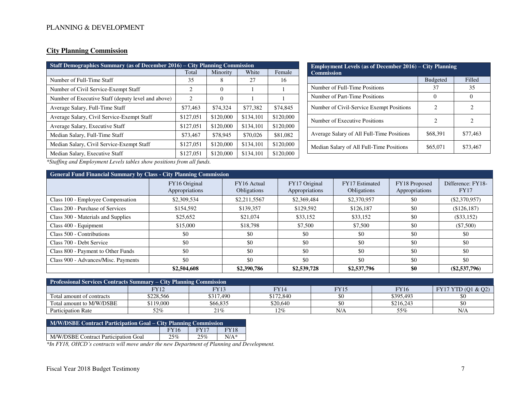### **City Planning Commission**

| Staff Demographics Summary (as of December 2016) – City Planning Commission |           |           |           |  |
|-----------------------------------------------------------------------------|-----------|-----------|-----------|--|
| Total                                                                       | Minority  | White     | Female    |  |
| 35                                                                          | 8         | 27        | 16        |  |
| 2                                                                           | $\Omega$  |           |           |  |
| 2                                                                           | $\Omega$  |           |           |  |
| \$77,463                                                                    | \$74,324  | \$77,382  | \$74,845  |  |
| \$127,051                                                                   | \$120,000 | \$134,101 | \$120,000 |  |
| \$127,051                                                                   | \$120,000 | \$134,101 | \$120,000 |  |
| \$73,467                                                                    | \$78,945  | \$70,026  | \$81,082  |  |
| \$127,051                                                                   | \$120,000 | \$134,101 | \$120,000 |  |
| \$127,051                                                                   | \$120,000 | \$134,101 | \$120,000 |  |
|                                                                             |           |           |           |  |

| <b>Employment Levels (as of December 2016) – City Planning</b><br><b>Commission</b> |                 |                             |  |  |
|-------------------------------------------------------------------------------------|-----------------|-----------------------------|--|--|
|                                                                                     | <b>Budgeted</b> | Filled                      |  |  |
| Number of Full-Time Positions                                                       | 37              | 35                          |  |  |
| Number of Part-Time Positions                                                       | $\theta$        |                             |  |  |
| Number of Civil-Service Exempt Positions                                            | 2               | 2                           |  |  |
| Number of Executive Positions                                                       | 2               | $\mathcal{D}_{\mathcal{L}}$ |  |  |
| Average Salary of All Full-Time Positions                                           | \$68,391        | \$77,463                    |  |  |
| Median Salary of All Full-Time Positions                                            | \$65,071        | \$73,467                    |  |  |

*\*Staffing and Employment Levels tables show positions from all funds.*

|                                     | <b>General Fund Financial Summary by Class - City Planning Commission</b> |                            |                                 |                                      |                                 |                                  |
|-------------------------------------|---------------------------------------------------------------------------|----------------------------|---------------------------------|--------------------------------------|---------------------------------|----------------------------------|
|                                     | FY16 Original<br>Appropriations                                           | FY16 Actual<br>Obligations | FY17 Original<br>Appropriations | FY17 Estimated<br><b>Obligations</b> | FY18 Proposed<br>Appropriations | Difference: FY18-<br><b>FY17</b> |
| Class 100 - Employee Compensation   | \$2,309,534                                                               | \$2,211,5567               | \$2,369,484                     | \$2,370,957                          | \$0                             | $(\$2,370,957)$                  |
| Class 200 - Purchase of Services    | \$154,592                                                                 | \$139,357                  | \$129,592                       | \$126,187                            | \$0                             | (\$126,187)                      |
| Class 300 - Materials and Supplies  | \$25,652                                                                  | \$21,074                   | \$33,152                        | \$33,152                             | \$0                             | $(\$33,152)$                     |
| Class 400 - Equipment               | \$15,000                                                                  | \$18,798                   | \$7.500                         | \$7,500                              | \$0                             | $(\$7,500)$                      |
| Class 500 - Contributions           | \$0                                                                       | \$0                        | \$0                             | \$0                                  | \$0                             | \$0                              |
| Class 700 - Debt Service            | \$0                                                                       | \$0                        | \$0                             | \$0                                  | \$0                             | \$0                              |
| Class 800 - Payment to Other Funds  | \$0                                                                       | \$0                        | \$0                             | \$0                                  | \$0                             | \$0                              |
| Class 900 - Advances/Misc. Payments | \$0                                                                       | \$0                        | \$0                             | \$0                                  | \$0                             | \$0                              |
|                                     | \$2,504,608                                                               | \$2,390,786                | \$2,539,728                     | \$2,537,796                          | \$0                             | $(\$2,537,796)$                  |

| <b>Professional Services Contracts Summary - City Planning Commission</b> |           |           |             |      |             |                    |
|---------------------------------------------------------------------------|-----------|-----------|-------------|------|-------------|--------------------|
|                                                                           | FY12      | FY13      | <b>FY14</b> | FY15 | <b>FY16</b> | FY17 YTD (Q1 & Q2) |
| Total amount of contracts                                                 | \$228,566 | \$317.490 | \$172,840   |      | \$395.493   | \$0                |
| Total amount to M/W/DSBE                                                  | \$119,000 | \$66.835  | \$20.640    |      | \$216.243   | \$0                |
| <b>Participation Rate</b>                                                 | 52%       | 21%       | 12%         | N/A  | 55%         | N/A                |

| M/W/DSBE Contract Participation Goal – City Planning Commission |     |     |        |  |
|-----------------------------------------------------------------|-----|-----|--------|--|
| <b>FY18</b><br><b>FY16</b><br><b>FY17</b>                       |     |     |        |  |
| M/W/DSBE Contract Participation Goal                            | 25% | 25% | $N/A*$ |  |

*\*In FY18, OHCD's contracts will move under the new Department of Planning and Development.*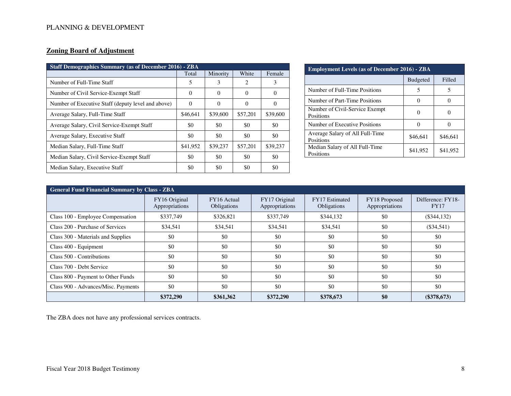## **Zoning Board of Adjustment**

| <b>Staff Demographics Summary (as of December 2016) - ZBA</b> |          |          |          |          |
|---------------------------------------------------------------|----------|----------|----------|----------|
|                                                               | Total    | Minority | White    | Female   |
| Number of Full-Time Staff                                     | 5        | 3        | 2        | 3        |
| Number of Civil Service-Exempt Staff                          | $\Omega$ | $\Omega$ | $\Omega$ | $\theta$ |
| Number of Executive Staff (deputy level and above)            | $\Omega$ | 0        | $\Omega$ | $\Omega$ |
| Average Salary, Full-Time Staff                               | \$46,641 | \$39,600 | \$57,201 | \$39,600 |
| Average Salary, Civil Service-Exempt Staff                    | \$0      | \$0      | \$0      | \$0      |
| Average Salary, Executive Staff                               | \$0      | \$0      | \$0      | \$0      |
| Median Salary, Full-Time Staff                                | \$41,952 | \$39,237 | \$57,201 | \$39,237 |
| Median Salary, Civil Service-Exempt Staff                     | \$0      | \$0      | \$0      | \$0      |
| Median Salary, Executive Staff                                | \$0      | \$0      | \$0      | \$0      |

| <b>Employment Levels (as of December 2016) - ZBA</b> |                 |          |  |  |
|------------------------------------------------------|-----------------|----------|--|--|
|                                                      | <b>Budgeted</b> | Filled   |  |  |
| Number of Full-Time Positions                        | 5               | 5        |  |  |
| Number of Part-Time Positions                        |                 |          |  |  |
| Number of Civil-Service Exempt<br>Positions          |                 |          |  |  |
| Number of Executive Positions                        |                 |          |  |  |
| Average Salary of All Full-Time<br>Positions         | \$46,641        | \$46,641 |  |  |
| Median Salary of All Full-Time<br>Positions          | \$41,952        | \$41,952 |  |  |

| <b>General Fund Financial Summary by Class - ZBA</b> |                                 |                            |                                 |                                      |                                 |                                  |
|------------------------------------------------------|---------------------------------|----------------------------|---------------------------------|--------------------------------------|---------------------------------|----------------------------------|
|                                                      | FY16 Original<br>Appropriations | FY16 Actual<br>Obligations | FY17 Original<br>Appropriations | FY17 Estimated<br><b>Obligations</b> | FY18 Proposed<br>Appropriations | Difference: FY18-<br><b>FY17</b> |
| Class 100 - Employee Compensation                    | \$337,749                       | \$326,821                  | \$337,749                       | \$344,132                            | \$0                             | $(\$344, 132)$                   |
| Class 200 - Purchase of Services                     | \$34,541                        | \$34,541                   | \$34,541                        | \$34,541                             | \$0                             | $(\$34,541)$                     |
| Class 300 - Materials and Supplies                   | \$0                             | \$0                        | \$0                             | \$0                                  | \$0                             | \$0                              |
| Class 400 - Equipment                                | \$0                             | \$0                        | \$0                             | \$0                                  | \$0                             | \$0                              |
| Class 500 - Contributions                            | \$0                             | \$0                        | \$0                             | \$0                                  | \$0                             | \$0                              |
| Class 700 - Debt Service                             | \$0                             | \$0                        | \$0                             | \$0                                  | \$0                             | \$0                              |
| Class 800 - Payment to Other Funds                   | \$0                             | \$0                        | \$0                             | \$0                                  | \$0                             | \$0                              |
| Class 900 - Advances/Misc. Payments                  | \$0                             | \$0                        | \$0                             | \$0                                  | \$0                             | \$0                              |
|                                                      | \$372,290                       | \$361,362                  | \$372,290                       | \$378,673                            | \$0                             | $(\$378,673)$                    |

The ZBA does not have any professional services contracts.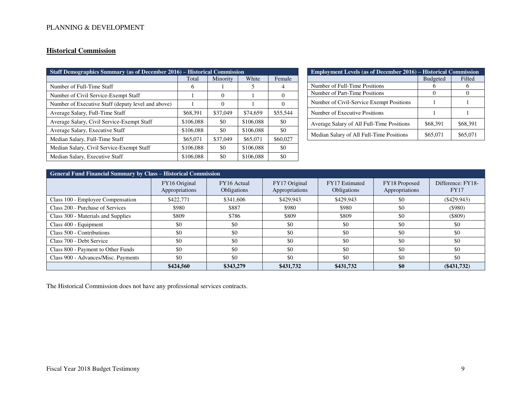## **Historical Commission**

| <b>Staff Demographics Summary (as of December 2016) - Historical Commission</b> |           |          |           |          |
|---------------------------------------------------------------------------------|-----------|----------|-----------|----------|
|                                                                                 | Total     | Minority | White     | Female   |
| Number of Full-Time Staff                                                       | 6         |          | 5         | 4        |
| Number of Civil Service-Exempt Staff                                            |           | $\Omega$ |           | 0        |
| Number of Executive Staff (deputy level and above)                              |           | $\Omega$ |           | $\Omega$ |
| Average Salary, Full-Time Staff                                                 | \$68,391  | \$37,049 | \$74,659  | \$55,544 |
| Average Salary, Civil Service-Exempt Staff                                      | \$106,088 | \$0      | \$106,088 | \$0      |
| Average Salary, Executive Staff                                                 | \$106,088 | \$0      | \$106,088 | \$0      |
| Median Salary, Full-Time Staff                                                  | \$65,071  | \$37,049 | \$65,071  | \$60,027 |
| Median Salary, Civil Service-Exempt Staff                                       | \$106,088 | \$0      | \$106,088 | \$0      |
| Median Salary, Executive Staff                                                  | \$106,088 | \$0      | \$106,088 | \$0      |

| <b>Employment Levels (as of December 2016) – Historical Commission</b> |                 |          |  |  |
|------------------------------------------------------------------------|-----------------|----------|--|--|
|                                                                        | <b>Budgeted</b> | Filled   |  |  |
| Number of Full-Time Positions                                          |                 |          |  |  |
| Number of Part-Time Positions                                          |                 |          |  |  |
| Number of Civil-Service Exempt Positions                               |                 |          |  |  |
| Number of Executive Positions                                          |                 |          |  |  |
| Average Salary of All Full-Time Positions                              | \$68,391        | \$68,391 |  |  |
| Median Salary of All Full-Time Positions                               | \$65,071        | \$65,071 |  |  |

| General Fund Financial Summary by Class - Historical Commission |                                 |                            |                                 |                                      |                                 |                                  |
|-----------------------------------------------------------------|---------------------------------|----------------------------|---------------------------------|--------------------------------------|---------------------------------|----------------------------------|
|                                                                 | FY16 Original<br>Appropriations | FY16 Actual<br>Obligations | FY17 Original<br>Appropriations | FY17 Estimated<br><b>Obligations</b> | FY18 Proposed<br>Appropriations | Difference: FY18-<br><b>FY17</b> |
| Class 100 - Employee Compensation                               | \$422,771                       | \$341,606                  | \$429,943                       | \$429,943                            | \$0                             | $($ \$429,943)                   |
| Class 200 - Purchase of Services                                | \$980                           | \$887                      | \$980                           | \$980                                | \$0                             | $($ \$980)                       |
| Class 300 - Materials and Supplies                              | \$809                           | \$786                      | \$809                           | \$809                                | \$0                             | (\$809)                          |
| Class 400 - Equipment                                           | \$0                             | \$0                        | \$0                             | \$0                                  | \$0                             | \$0                              |
| Class 500 - Contributions                                       | \$0                             | \$0                        | \$0                             | \$0                                  | \$0                             | \$0                              |
| Class 700 - Debt Service                                        | \$0                             | \$0                        | \$0                             | \$0                                  | \$0                             | \$0                              |
| Class 800 - Payment to Other Funds                              | \$0                             | \$0                        | \$0                             | \$0                                  | \$0                             | \$0                              |
| Class 900 - Advances/Misc. Payments                             | \$0                             | \$0                        | \$0                             | \$0                                  | \$0                             | \$0                              |
|                                                                 | \$424,560                       | \$343,279                  | \$431,732                       | \$431,732                            | \$0                             | $(\$431,732)$                    |

The Historical Commission does not have any professional services contracts.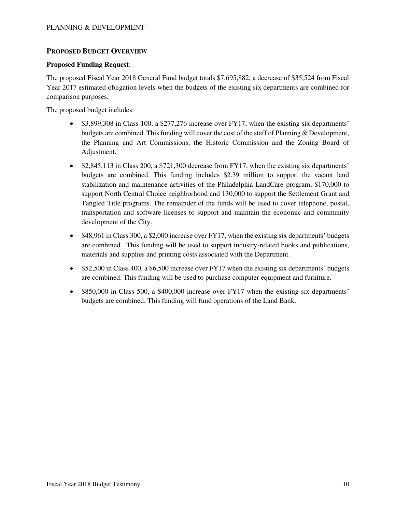### **PROPOSED BUDGET OVERVIEW**

#### **Proposed Funding Request**:

The proposed Fiscal Year 2018 General Fund budget totals \$7,695,882, a decrease of \$35,524 from Fiscal Year 2017 estimated obligation levels when the budgets of the existing six departments are combined for comparison purposes.

The proposed budget includes:

- \$3,899,308 in Class 100, a \$277,276 increase over FY17, when the existing six departments' budgets are combined. This funding will cover the cost of the staff of Planning & Development, the Planning and Art Commissions, the Historic Commission and the Zoning Board of Adjustment.
- $\bullet$  \$2,845,113 in Class 200, a \$721,300 decrease from FY17, when the existing six departments' budgets are combined. This funding includes \$2.39 million to support the vacant land stabilization and maintenance activities of the Philadelphia LandCare program; \$170,000 to support North Central Choice neighborhood and 130,000 to support the Settlement Grant and Tangled Title programs. The remainder of the funds will be used to cover telephone, postal, transportation and software licenses to support and maintain the economic and community development of the City.
- \$48,961 in Class 300, a \$2,000 increase over FY17, when the existing six departments' budgets are combined. This funding will be used to support industry-related books and publications, materials and supplies and printing costs associated with the Department.
- \$52,500 in Class 400, a \$6,500 increase over FY17 when the existing six departments' budgets are combined. This funding will be used to purchase computer equipment and furniture.
- \$850,000 in Class 500, a \$400,000 increase over FY17 when the existing six departments' budgets are combined. This funding will fund operations of the Land Bank.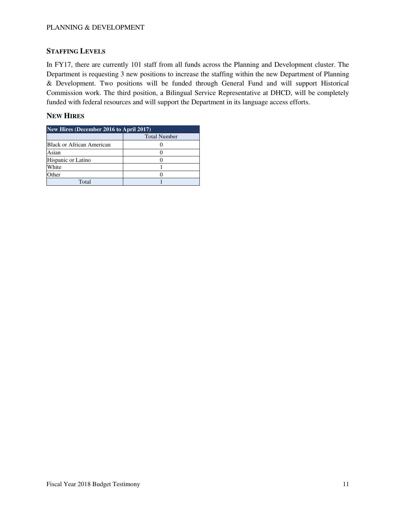### **STAFFING LEVELS**

In FY17, there are currently 101 staff from all funds across the Planning and Development cluster. The Department is requesting 3 new positions to increase the staffing within the new Department of Planning & Development. Two positions will be funded through General Fund and will support Historical Commission work. The third position, a Bilingual Service Representative at DHCD, will be completely funded with federal resources and will support the Department in its language access efforts.

### **NEW HIRES**

| <b>New Hires (December 2016 to April 2017)</b> |                     |  |  |
|------------------------------------------------|---------------------|--|--|
|                                                | <b>Total Number</b> |  |  |
| Black or African American                      |                     |  |  |
| Asian                                          |                     |  |  |
| Hispanic or Latino                             |                     |  |  |
| White                                          |                     |  |  |
| Other                                          |                     |  |  |
| Total                                          |                     |  |  |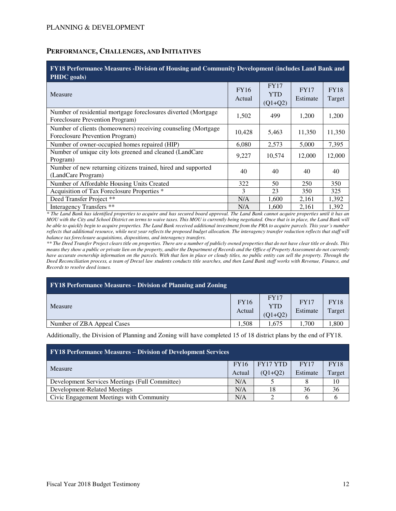#### **PERFORMANCE, CHALLENGES, AND INITIATIVES**

| FY18 Performance Measures -Division of Housing and Community Development (includes Land Bank and<br>PHDC goals) |                       |                                        |                         |                       |  |  |  |  |
|-----------------------------------------------------------------------------------------------------------------|-----------------------|----------------------------------------|-------------------------|-----------------------|--|--|--|--|
| Measure                                                                                                         | <b>FY16</b><br>Actual | <b>FY17</b><br><b>YTD</b><br>$(Q1+Q2)$ | <b>FY17</b><br>Estimate | <b>FY18</b><br>Target |  |  |  |  |
| Number of residential mortgage foreclosures diverted (Mortgage<br>Foreclosure Prevention Program)               | 1,502                 | 499                                    | 1,200                   | 1,200                 |  |  |  |  |
| Number of clients (homeowners) receiving counseling (Mortgage<br>Foreclosure Prevention Program)                | 10,428                | 5,463                                  | 11,350                  | 11,350                |  |  |  |  |
| Number of owner-occupied homes repaired (HIP)                                                                   | 6,080                 | 2,573                                  | 5,000                   | 7,395                 |  |  |  |  |
| Number of unique city lots greened and cleaned (LandCare<br>Program)                                            | 9,227                 | 10,574                                 | 12,000                  | 12,000                |  |  |  |  |
| Number of new returning citizens trained, hired and supported<br>(LandCare Program)                             | 40                    | 40                                     | 40                      | 40                    |  |  |  |  |
| Number of Affordable Housing Units Created                                                                      | 322                   | 50                                     | 250                     | 350                   |  |  |  |  |
| Acquisition of Tax Foreclosure Properties *                                                                     | 3                     | 23                                     | 350                     | 325                   |  |  |  |  |
| Deed Transfer Project **                                                                                        | N/A                   | 1,600                                  | 2,161                   | 1,392                 |  |  |  |  |
| Interagency Transfers <sup>**</sup>                                                                             | N/A                   | 1,600                                  | 2,161                   | 1,392                 |  |  |  |  |

*\* The Land Bank has identified properties to acquire and has secured board approval. The Land Bank cannot acquire properties until it has an MOU with the City and School District on terms to waive taxes. This MOU is currently being negotiated. Once that is in place, the Land Bank will be able to quickly begin to acquire properties. The Land Bank received additional investment from the PRA to acquire parcels. This year's number reflects that additional resource, while next year reflects the proposed budget allocation. The interagency transfer reduction reflects that staff will balance tax foreclosure acquisitions, dispositions, and interagency transfers.*

*\*\* The Deed Transfer Project clears title on properties. There are a number of publicly owned properties that do not have clear title or deeds. This means they show a public or private lien on the property, and/or the Department of Records and the Office of Property Assessment do not currently have accurate ownership information on the parcels. With that lien in place or cloudy titles, no public entity can sell the property. Through the Deed Reconciliation process, a team of Drexel law students conducts title searches, and then Land Bank staff works with Revenue, Finance, and Records to resolve deed issues.* 

| <b>FY18 Performance Measures – Division of Planning and Zoning</b> |                       |                                        |                         |                       |
|--------------------------------------------------------------------|-----------------------|----------------------------------------|-------------------------|-----------------------|
| Measure                                                            | <b>FY16</b><br>Actual | <b>FY17</b><br><b>YTD</b><br>$(Q1+Q2)$ | <b>FY17</b><br>Estimate | <b>FY18</b><br>Target |
| Number of ZBA Appeal Cases                                         | .508                  | 1.675                                  | .,700                   | ,800                  |

Additionally, the Division of Planning and Zoning will have completed 15 of 18 district plans by the end of FY18.

| <b>FY18 Performance Measures – Division of Development Services</b> |     |           |             |             |  |  |  |  |
|---------------------------------------------------------------------|-----|-----------|-------------|-------------|--|--|--|--|
| Measure<br>Actual                                                   |     | FY17 YTD  | <b>FY17</b> | <b>FY18</b> |  |  |  |  |
|                                                                     |     | $(Q1+Q2)$ | Estimate    | Target      |  |  |  |  |
| Development Services Meetings (Full Committee)                      | N/A |           |             | 10          |  |  |  |  |
| Development-Related Meetings                                        | N/A | 18        | 36          | 36          |  |  |  |  |
| Civic Engagement Meetings with Community                            | N/A |           |             |             |  |  |  |  |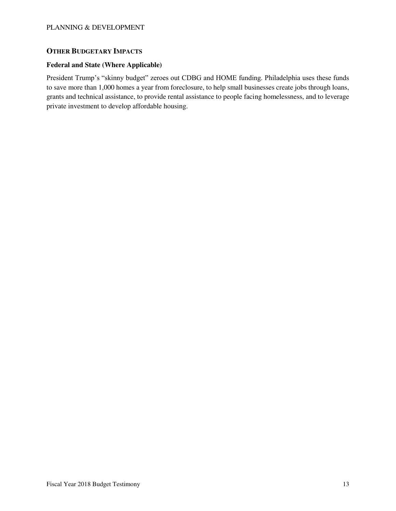# **OTHER BUDGETARY IMPACTS**

#### **Federal and State (Where Applicable)**

President Trump's "skinny budget" zeroes out CDBG and HOME funding. Philadelphia uses these funds to save more than 1,000 homes a year from foreclosure, to help small businesses create jobs through loans, grants and technical assistance, to provide rental assistance to people facing homelessness, and to leverage private investment to develop affordable housing.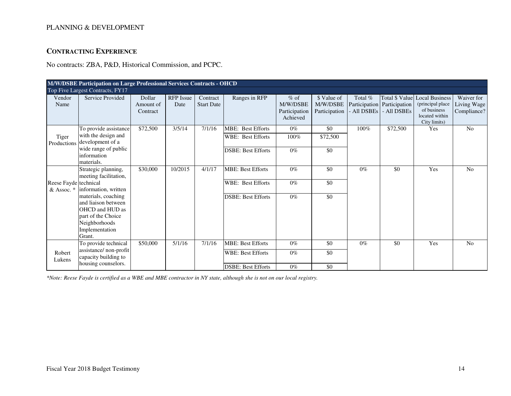# **CONTRACTING EXPERIENCE**

No contracts: ZBA, P&D, Historical Commission, and PCPC.

| M/W/DSBE Participation on Large Professional Services Contracts - OHCD |                                                                                                                                  |                                 |                   |                               |                                               |                                                 |                                          |                      |                                                                |                                                                                             |                                          |
|------------------------------------------------------------------------|----------------------------------------------------------------------------------------------------------------------------------|---------------------------------|-------------------|-------------------------------|-----------------------------------------------|-------------------------------------------------|------------------------------------------|----------------------|----------------------------------------------------------------|---------------------------------------------------------------------------------------------|------------------------------------------|
|                                                                        | Top Five Largest Contracts, FY17                                                                                                 |                                 |                   |                               |                                               |                                                 |                                          |                      |                                                                |                                                                                             |                                          |
| Vendor<br>Name                                                         | Service Provided                                                                                                                 | Dollar<br>Amount of<br>Contract | RFP Issue<br>Date | Contract<br><b>Start Date</b> | Ranges in RFP                                 | $%$ of<br>M/W/DSBE<br>Participation<br>Achieved | \$ Value of<br>M/W/DSBE<br>Participation | Total %<br>All DSBEs | Total \$ Value<br>Participation   Participation<br>- All DSBEs | <b>Local Business</b><br>(principal place)<br>of business<br>located within<br>City limits) | Waiver for<br>Living Wage<br>Compliance? |
| Tiger<br>Productions                                                   | To provide assistance<br>with the design and<br>development of a                                                                 | \$72,500                        | 3/5/14            | 7/1/16                        | <b>MBE: Best Efforts</b><br>WBE: Best Efforts | $0\%$<br>100%                                   | \$0<br>\$72,500                          | 100%                 | \$72,500                                                       | Yes                                                                                         | N <sub>o</sub>                           |
|                                                                        | wide range of public<br>information<br>materials.                                                                                |                                 |                   |                               | <b>DSBE: Best Efforts</b>                     | $0\%$                                           | \$0                                      |                      |                                                                |                                                                                             |                                          |
|                                                                        | Strategic planning,<br>meeting facilitation,                                                                                     | \$30,000                        | 10/2015           | 4/1/17                        | <b>MBE: Best Efforts</b>                      | $0\%$                                           | \$0                                      | $0\%$                | \$0                                                            | Yes                                                                                         | N <sub>0</sub>                           |
| Reese Fayde technical                                                  | & Assoc. * information, written                                                                                                  |                                 |                   |                               | WBE: Best Efforts                             | $0\%$                                           | \$0                                      |                      |                                                                |                                                                                             |                                          |
|                                                                        | materials, coaching<br>and liaison between<br>OHCD and HUD as<br>part of the Choice<br>Neighborhoods<br>Implementation<br>Grant. |                                 |                   |                               | <b>DSBE: Best Efforts</b>                     | $0\%$                                           | \$0                                      |                      |                                                                |                                                                                             |                                          |
|                                                                        | To provide technical<br>assistance/non-profit                                                                                    | \$50,000                        | 5/1/16            | 7/1/16                        | <b>MBE: Best Efforts</b>                      | $0\%$                                           | \$0                                      | $0\%$                | \$0                                                            | Yes                                                                                         | N <sub>0</sub>                           |
| Robert<br>Lukens                                                       | capacity building to                                                                                                             |                                 |                   |                               | <b>WBE: Best Efforts</b>                      | $0\%$                                           | \$0                                      |                      |                                                                |                                                                                             |                                          |
|                                                                        | housing counselors.                                                                                                              |                                 |                   |                               | <b>DSBE: Best Efforts</b>                     | $0\%$                                           | \$0                                      |                      |                                                                |                                                                                             |                                          |

*\*Note: Reese Fayde is certified as a WBE and MBE contractor in NY state, although she is not on our local registry.*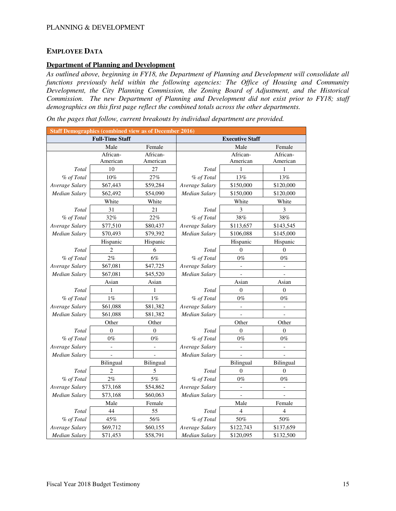### **EMPLOYEE DATA**

#### **Department of Planning and Development**

*As outlined above, beginning in FY18, the Department of Planning and Development will consolidate all functions previously held within the following agencies: The Office of Housing and Community Development, the City Planning Commission, the Zoning Board of Adjustment, and the Historical Commission. The new Department of Planning and Development did not exist prior to FY18; staff demographics on this first page reflect the combined totals across the other departments.* 

*On the pages that follow, current breakouts by individual department are provided.*

| <b>Staff Demographics (combined view as of December 2016)</b> |                          |                          |                      |                          |                          |
|---------------------------------------------------------------|--------------------------|--------------------------|----------------------|--------------------------|--------------------------|
|                                                               | <b>Full-Time Staff</b>   |                          |                      | <b>Executive Staff</b>   |                          |
|                                                               | Male                     | Female                   |                      | Male                     | Female                   |
|                                                               | African-                 | African-                 |                      | African-                 | African-                 |
|                                                               | American                 | American                 |                      | American                 | American                 |
| Total                                                         | 10                       | 27                       | Total                | 1                        | 1                        |
| % of Total                                                    | $10\%$                   | 27%                      | % of Total           | 13%                      | 13%                      |
| Average Salary                                                | \$67,443                 | \$59,284                 | Average Salary       | \$150,000                | \$120,000                |
| <b>Median Salary</b>                                          | \$62,492                 | \$54,090                 | Median Salary        | \$150,000                | \$120,000                |
|                                                               | White                    | White                    |                      | White                    | White                    |
| Total                                                         | 31                       | 21                       | Total                | $\mathfrak{Z}$           | 3                        |
| % of Total                                                    | 32%                      | 22%                      | % of Total           | 38%                      | 38%                      |
| Average Salary                                                | \$77,510                 | \$80,437                 | Average Salary       | \$113,657                | \$143,545                |
| Median Salary                                                 | \$70,493                 | \$79,392                 | Median Salary        | \$106,088                | \$145,000                |
|                                                               | Hispanic                 | Hispanic                 |                      | Hispanic                 | Hispanic                 |
| Total                                                         | 2                        | 6                        | Total                | $\theta$                 | $\Omega$                 |
| % of Total                                                    | 2%                       | 6%                       | % of Total           | $0\%$                    | $0\%$                    |
| Average Salary                                                | \$67,081                 | \$47,725                 | Average Salary       |                          |                          |
| Median Salary                                                 | \$67,081                 | \$45,520                 | <b>Median Salary</b> |                          |                          |
|                                                               | Asian                    | Asian                    |                      | Asian                    | Asian                    |
| Total                                                         | 1                        | 1                        | Total                | $\overline{0}$           | $\theta$                 |
| % of Total                                                    | $1\%$                    | $1\%$                    | % of Total           | $0\%$                    | $0\%$                    |
| Average Salary                                                | \$61,088                 | \$81,382                 | Average Salary       |                          |                          |
| Median Salary                                                 | \$61,088                 | \$81,382                 | Median Salary        |                          |                          |
|                                                               | Other                    | Other                    |                      | Other                    | Other                    |
| Total                                                         | $\theta$                 | $\theta$                 | Total                | $\theta$                 | $\Omega$                 |
| % of Total                                                    | $0\%$                    | $0\%$                    | % of Total           | $0\%$                    | $0\%$                    |
| Average Salary                                                | $\overline{\phantom{a}}$ | $\overline{\phantom{a}}$ | Average Salary       | $\overline{\phantom{0}}$ | $\overline{\phantom{0}}$ |
| <b>Median Salary</b>                                          |                          |                          | <b>Median Salary</b> |                          |                          |
|                                                               | Bilingual                | Bilingual                |                      | <b>Bilingual</b>         | Bilingual                |
| Total                                                         | $\overline{c}$           | 5                        | Total                | $\boldsymbol{0}$         | $\boldsymbol{0}$         |
| % of Total                                                    | 2%                       | $5\%$                    | % of Total           | $0\%$                    | $0\%$                    |
| Average Salary                                                | \$73,168                 | \$54,862                 | Average Salary       | $\overline{a}$           |                          |
| Median Salary                                                 | \$73,168                 | \$60,063                 | <b>Median Salary</b> |                          |                          |
|                                                               | Male                     | Female                   |                      | Male                     | Female                   |
| Total                                                         | 44                       | 55                       | Total                | 4                        | 4                        |
| % of Total                                                    | $45\%$                   | 56%                      | % of Total           | 50%                      | $50\%$                   |
| Average Salary                                                | \$69,712                 | \$60,155                 | Average Salary       | \$122,743                | \$137,659                |
| Median Salary                                                 | \$71,453                 | \$58,791                 | Median Salary        | \$120,095                | \$132,500                |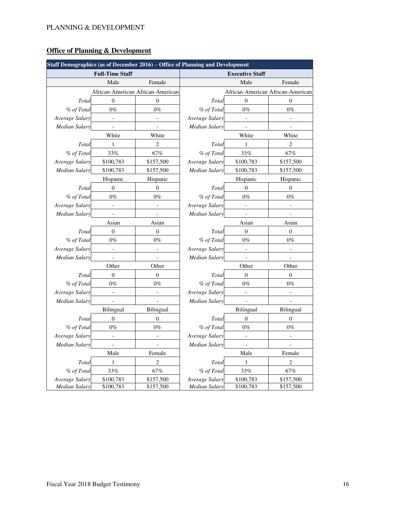# **Office of Planning & Development**

| Staff Demographics (as of December $2016$ ) – Office of Planning and Development |                          |                                   |                      |                          |                                   |
|----------------------------------------------------------------------------------|--------------------------|-----------------------------------|----------------------|--------------------------|-----------------------------------|
|                                                                                  | <b>Full-Time Staff</b>   |                                   |                      | <b>Executive Staff</b>   |                                   |
|                                                                                  | Male                     | Female                            |                      | Male                     | Female                            |
|                                                                                  |                          | African-American African-American |                      |                          | African-American African-American |
| Total                                                                            | $\theta$                 | $\overline{0}$                    | Total                | $\theta$                 | $\theta$                          |
| % of Total                                                                       | $0\%$                    | $0\%$                             | % of Total           | $0\%$                    | $0\%$                             |
| Average Salary                                                                   | $\overline{a}$           | $\overline{a}$                    | Average Salary       | $\overline{a}$           | $\overline{a}$                    |
| Median Salary                                                                    |                          |                                   | Median Salary        |                          |                                   |
|                                                                                  | White                    | White                             |                      | White                    | White                             |
| Total                                                                            | 1                        | $\overline{2}$                    | Total                | 1                        | 2                                 |
| % of Total                                                                       | 33%                      | 67%                               | % of Total           | 33%                      | 67%                               |
| Average Salary                                                                   | \$100,783                | \$157,500                         | Average Salary       | \$100,783                | \$157,500                         |
| <b>Median Salary</b>                                                             | \$100,783                | \$157,500                         | <b>Median Salary</b> | \$100,783                | \$157,500                         |
|                                                                                  | Hispanic                 | Hispanic                          |                      | Hispanic                 | Hispanic                          |
| Total                                                                            | $\boldsymbol{0}$         | $\boldsymbol{0}$                  | Total                | $\overline{0}$           | $\mathbf{0}$                      |
| % of Total                                                                       | $0\%$                    | $0\%$                             | % of Total           | $0\%$                    | $0\%$                             |
| Average Salary                                                                   | $\overline{a}$           |                                   | Average Salary       |                          |                                   |
| Median Salary                                                                    |                          |                                   | <b>Median Salary</b> |                          |                                   |
|                                                                                  | Asian                    | Asian                             |                      | Asian                    | Asian                             |
| Total                                                                            | $\theta$                 | $\overline{0}$                    | Total                | $\overline{0}$           | $\theta$                          |
| % of Total                                                                       | $0\%$                    | $0\%$                             | % of Total           | $0\%$                    | $0\%$                             |
| Average Salary                                                                   | $\overline{a}$           | $\overline{a}$                    | Average Salary       | $\overline{a}$           | $\overline{a}$                    |
| Median Salary                                                                    | $\overline{a}$           | $\overline{a}$                    | Median Salary        | $\overline{a}$           |                                   |
|                                                                                  | Other                    | Other                             |                      | Other                    | Other                             |
| Total                                                                            | $\theta$                 | $\boldsymbol{0}$                  | Total                | $\theta$                 | $\boldsymbol{0}$                  |
| % of Total                                                                       | $0\%$                    | $0\%$                             | % of Total           | $0\%$                    | $0\%$                             |
| Average Salary                                                                   | $\Box$                   | $\overline{a}$                    | Average Salary       | $\overline{a}$           | $\overline{a}$                    |
| <b>Median Salary</b>                                                             | $\blacksquare$           | $\qquad \qquad -$                 | <b>Median Salary</b> | $\overline{\phantom{a}}$ | $\overline{a}$                    |
|                                                                                  | <b>Bilingual</b>         | <b>Bilingual</b>                  |                      | <b>Bilingual</b>         | <b>Bilingual</b>                  |
| Total                                                                            | $\boldsymbol{0}$         | $\boldsymbol{0}$                  | Total                | $\boldsymbol{0}$         | $\boldsymbol{0}$                  |
| % of Total                                                                       | $0\%$                    | $0\%$                             | % of Total           | $0\%$                    | $0\%$                             |
| Average Salary                                                                   | $\overline{\phantom{0}}$ | $\overline{\phantom{m}}$          | Average Salary       | $\overline{\phantom{0}}$ | $\overline{\phantom{a}}$          |
| <b>Median Salary</b>                                                             | $\overline{\phantom{a}}$ | $\qquad \qquad -$                 | <b>Median Salary</b> | $\qquad \qquad -$        |                                   |
|                                                                                  | Male                     | Female                            |                      | Male                     | Female                            |
| Total                                                                            | 1                        | $\overline{\mathbf{c}}$           | Total                | $\mathbf{1}$             | $\overline{c}$                    |
| % of Total                                                                       | 33%                      | 67%                               | % of Total           | 33%                      | 67%                               |
| Average Salary                                                                   | \$100,783                | \$157,500                         | Average Salary       | \$100,783                | \$157,500                         |
| Median Salary                                                                    | \$100,783                | \$157,500                         | Median Salary        | \$100,783                | \$157,500                         |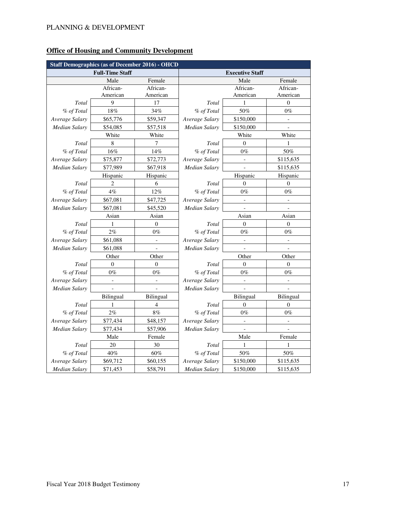|                      | <b>Staff Demographics (as of December 2016) - OHCD</b> |                  |                      |                          |                          |
|----------------------|--------------------------------------------------------|------------------|----------------------|--------------------------|--------------------------|
|                      | <b>Full-Time Staff</b>                                 |                  |                      | <b>Executive Staff</b>   |                          |
|                      | Male                                                   | Female           |                      | Male                     | Female                   |
|                      | African-                                               | African-         |                      | African-                 | African-                 |
|                      | American                                               | American         |                      | American                 | American                 |
| Total                | 9                                                      | 17               | Total                | 1                        | $\mathbf{0}$             |
| % of Total           | 18%                                                    | 34%              | % of Total           | 50%                      | $0\%$                    |
| Average Salary       | \$65,776                                               | \$59,347         | Average Salary       | \$150,000                | $\overline{a}$           |
| <b>Median Salary</b> | \$54,085                                               | \$57,518         | Median Salary        | \$150,000                |                          |
|                      | White                                                  | White            |                      | White                    | White                    |
| Total                | $\,$ 8 $\,$                                            | 7                | Total                | $\mathbf{0}$             | 1                        |
| $\%$ of Total        | 16%                                                    | 14%              | % of Total           | $0\%$                    | 50%                      |
| Average Salary       | \$75,877                                               | \$72,773         | Average Salary       |                          | \$115,635                |
| <b>Median Salary</b> | \$77,989                                               | \$67,918         | <b>Median Salary</b> |                          | \$115,635                |
|                      | Hispanic                                               | Hispanic         |                      | Hispanic                 | Hispanic                 |
| Total                | $\overline{c}$                                         | 6                | Total                | $\theta$                 | $\boldsymbol{0}$         |
| % of Total           | $4\%$                                                  | 12%              | % of Total           | $0\%$                    | $0\%$                    |
| Average Salary       | \$67,081                                               | \$47,725         | Average Salary       | $\overline{a}$           | $\overline{a}$           |
| <b>Median Salary</b> | \$67,081                                               | \$45,520         | Median Salary        | $\overline{\phantom{0}}$ | $\overline{\phantom{0}}$ |
|                      | Asian                                                  | Asian            |                      | Asian                    | Asian                    |
| Total                | 1                                                      | $\overline{0}$   | Total                | $\theta$                 | $\theta$                 |
| % of Total           | 2%                                                     | $0\%$            | % of Total           | $0\%$                    | $0\%$                    |
| Average Salary       | \$61,088                                               | $\overline{a}$   | Average Salary       |                          | $\overline{a}$           |
| <b>Median Salary</b> | \$61,088                                               |                  | <b>Median Salary</b> |                          |                          |
|                      | Other                                                  | Other            |                      | Other                    | Other                    |
| Total                | $\boldsymbol{0}$                                       | $\boldsymbol{0}$ | Total                | $\mathbf{0}$             | $\theta$                 |
| % of Total           | $0\%$                                                  | $0\%$            | % of Total           | $0\%$                    | $0\%$                    |
| Average Salary       |                                                        |                  | Average Salary       |                          |                          |
| <b>Median Salary</b> |                                                        |                  | Median Salary        |                          |                          |
|                      | Bilingual                                              | Bilingual        |                      | Bilingual                | Bilingual                |
| Total                | 1                                                      | 4                | Total                | $\theta$                 | $\theta$                 |
| % of Total           | 2%                                                     | $8\%$            | % of Total           | $0\%$                    | $0\%$                    |
| Average Salary       | \$77,434                                               | \$48,157         | Average Salary       | $\overline{\phantom{0}}$ | $\blacksquare$           |
| <b>Median Salary</b> | \$77,434                                               | \$57,906         | Median Salary        | $\qquad \qquad \Box$     |                          |
|                      | Male                                                   | Female           |                      | Male                     | Female                   |
| Total                | 20                                                     | 30               | Total                | 1                        | 1                        |
| % of Total           | 40%                                                    | 60%              | % of Total           | $50\%$                   | 50%                      |
| Average Salary       | \$69,712                                               | \$60,155         | Average Salary       | \$150,000                | \$115,635                |
| <b>Median Salary</b> | \$71,453                                               | \$58,791         | <b>Median Salary</b> | \$150,000                | \$115,635                |

# **Office of Housing and Community Development**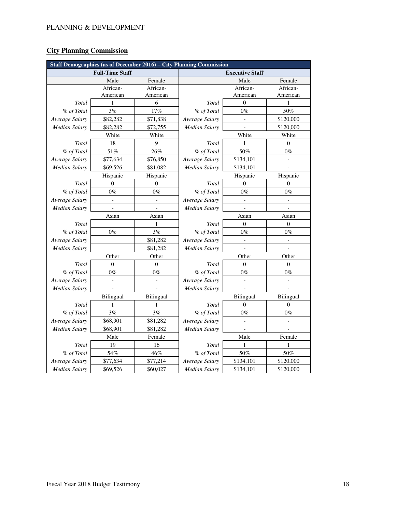# **City Planning Commission**

| Staff Demographics (as of December 2016) – City Planning Commission |                          |                |                      |                          |                |
|---------------------------------------------------------------------|--------------------------|----------------|----------------------|--------------------------|----------------|
|                                                                     | <b>Full-Time Staff</b>   |                |                      | <b>Executive Staff</b>   |                |
|                                                                     | Male                     | Female         |                      | Male                     | Female         |
|                                                                     | African-                 | African-       |                      | African-                 | African-       |
|                                                                     | American                 | American       |                      | American                 | American       |
| Total                                                               | $\mathbf{1}$             | 6              | <b>Total</b>         | $\mathbf{0}$             | $\mathbf{1}$   |
| % of Total                                                          | 3%                       | 17%            | % of Total           | $0\%$                    | 50%            |
| Average Salary                                                      | \$82,282                 | \$71,838       | Average Salary       | $\overline{a}$           | \$120,000      |
| <b>Median Salary</b>                                                | \$82,282                 | \$72,755       | <b>Median Salary</b> |                          | \$120,000      |
|                                                                     | White                    | White          |                      | White                    | White          |
| Total                                                               | 18                       | 9              | Total                | $\mathbf{1}$             | $\mathbf{0}$   |
| % of Total                                                          | 51%                      | 26%            | % of Total           | 50%                      | $0\%$          |
| Average Salary                                                      | \$77,634                 | \$76,850       | Average Salary       | \$134,101                |                |
| <b>Median Salary</b>                                                | \$69,526                 | \$81,082       | Median Salary        | \$134,101                |                |
|                                                                     | Hispanic                 | Hispanic       |                      | Hispanic                 | Hispanic       |
| Total                                                               | $\mathbf{0}$             | $\theta$       | Total                | $\theta$                 | $\theta$       |
| % of Total                                                          | $0\%$                    | $0\%$          | % of Total           | $0\%$                    | $0\%$          |
| Average Salary                                                      | $\overline{\phantom{0}}$ | $\overline{a}$ | Average Salary       |                          | $\overline{a}$ |
| <b>Median Salary</b>                                                |                          |                | <b>Median Salary</b> |                          |                |
|                                                                     | Asian                    | Asian          |                      | Asian                    | Asian          |
| Total                                                               |                          | 1              | Total                | $\theta$                 | $\mathbf{0}$   |
| % of Total                                                          | $0\%$                    | 3%             | % of Total           | $0\%$                    | $0\%$          |
| Average Salary                                                      |                          | \$81,282       | Average Salary       |                          |                |
| Median Salary                                                       |                          | \$81,282       | Median Salary        |                          |                |
|                                                                     | Other                    | Other          |                      | Other                    | Other          |
| Total                                                               | $\Omega$                 | $\mathbf{0}$   | Total                | $\Omega$                 | $\overline{0}$ |
| % of Total                                                          | $0\%$                    | $0\%$          | % of Total           | $0\%$                    | $0\%$          |
| Average Salary                                                      | $\frac{1}{2}$            | $\frac{1}{2}$  | Average Salary       | $\overline{\phantom{0}}$ | $\overline{a}$ |
| <b>Median Salary</b>                                                |                          |                | Median Salary        |                          |                |
|                                                                     | Bilingual                | Bilingual      |                      | <b>Bilingual</b>         | Bilingual      |
| Total                                                               | 1                        | 1              | Total                | $\theta$                 | $\overline{0}$ |
| % of Total                                                          | 3%                       | 3%             | % of Total           | $0\%$                    | $0\%$          |
| Average Salary                                                      | \$68,901                 | \$81,282       | Average Salary       |                          |                |
| <b>Median Salary</b>                                                | \$68,901                 | \$81,282       | <b>Median Salary</b> |                          |                |
|                                                                     | Male                     | Female         |                      | Male                     | Female         |
| Total                                                               | 19                       | 16             | Total                | $\mathbf{1}$             | 1              |
| % of Total                                                          | 54%                      | 46%            | % of Total           | 50%                      | 50%            |
| Average Salary                                                      | \$77,634                 | \$77,214       | Average Salary       | \$134,101                | \$120,000      |
| Median Salary                                                       | \$69,526                 | \$60,027       | Median Salary        | \$134,101                | \$120,000      |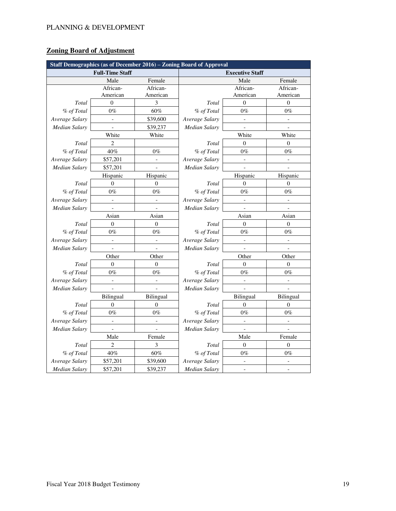# **Zoning Board of Adjustment**

| Staff Demographics (as of December 2016) - Zoning Board of Approval |                          |                          |                |                          |                |
|---------------------------------------------------------------------|--------------------------|--------------------------|----------------|--------------------------|----------------|
|                                                                     | <b>Full-Time Staff</b>   |                          |                | <b>Executive Staff</b>   |                |
|                                                                     | Male                     | Female                   |                | Male                     | Female         |
|                                                                     | African-                 | African-                 |                | African-                 | African-       |
|                                                                     | American                 | American                 |                | American                 | American       |
| Total                                                               | $\overline{0}$           | 3                        | Total          | $\mathbf{0}$             | $\overline{0}$ |
| % of Total                                                          | $0\%$                    | 60%                      | % of Total     | $0\%$                    | $0\%$          |
| Average Salary                                                      | $\overline{a}$           | \$39,600                 | Average Salary | $\overline{a}$           | $\overline{a}$ |
| <b>Median Salary</b>                                                |                          | \$39,237                 | Median Salary  |                          |                |
|                                                                     | White                    | White                    |                | White                    | White          |
| Total                                                               | $\overline{2}$           |                          | Total          | $\theta$                 | $\overline{0}$ |
| % of Total                                                          | 40%                      | $0\%$                    | % of Total     | $0\%$                    | $0\%$          |
| Average Salary                                                      | \$57,201                 |                          | Average Salary |                          |                |
| <b>Median Salary</b>                                                | \$57,201                 |                          | Median Salary  |                          |                |
|                                                                     | Hispanic                 | Hispanic                 |                | Hispanic                 | Hispanic       |
| Total                                                               | $\mathbf{0}$             | $\theta$                 | Total          | $\overline{0}$           | $\theta$       |
| % of Total                                                          | $0\%$                    | $0\%$                    | % of Total     | $0\%$                    | $0\%$          |
| Average Salary                                                      | $\overline{\phantom{0}}$ | $\overline{a}$           | Average Salary | $\overline{a}$           | $\overline{a}$ |
| <b>Median Salary</b>                                                |                          |                          | Median Salary  |                          |                |
|                                                                     | Asian                    | Asian                    |                | Asian                    | Asian          |
| Total                                                               | $\overline{0}$           | $\overline{0}$           | Total          | $\theta$                 | $\mathbf{0}$   |
| % of Total                                                          | $0\%$                    | $0\%$                    | % of Total     | $0\%$                    | $0\%$          |
| Average Salary                                                      |                          | $\overline{\phantom{0}}$ | Average Salary |                          |                |
| <b>Median Salary</b>                                                |                          |                          | Median Salary  |                          |                |
|                                                                     | Other                    | Other                    |                | Other                    | Other          |
| Total                                                               | $\mathbf{0}$             | $\theta$                 | Total          | $\theta$                 | $\theta$       |
| % of Total                                                          | $0\%$                    | $0\%$                    | % of Total     | $0\%$                    | $0\%$          |
| Average Salary                                                      | $\frac{1}{2}$            | $\frac{1}{2}$            | Average Salary | $\overline{\phantom{m}}$ | $\overline{a}$ |
| <b>Median Salary</b>                                                | $\blacksquare$           | $\overline{\phantom{0}}$ | Median Salary  |                          |                |
|                                                                     | Bilingual                | Bilingual                |                | <b>Bilingual</b>         | Bilingual      |
| Total                                                               | $\overline{0}$           | $\overline{0}$           | Total          | $\theta$                 | $\overline{0}$ |
| % of Total                                                          | $0\%$                    | $0\%$                    | % of Total     | $0\%$                    | $0\%$          |
| Average Salary                                                      | $\overline{\phantom{0}}$ | $\overline{a}$           | Average Salary | $\overline{a}$           | $\overline{a}$ |
| <b>Median Salary</b>                                                | $\overline{a}$           |                          | Median Salary  |                          |                |
|                                                                     | Male                     | Female                   |                | Male                     | Female         |
| Total                                                               | $\overline{c}$           | 3                        | Total          | $\overline{0}$           | $\overline{0}$ |
| % of Total                                                          | 40%                      | 60%                      | % of Total     | $0\%$                    | $0\%$          |
| Average Salary                                                      | \$57,201                 | \$39,600                 | Average Salary |                          |                |
| <b>Median Salary</b>                                                | \$57,201                 | \$39,237                 | Median Salary  | $\overline{a}$           | $\overline{a}$ |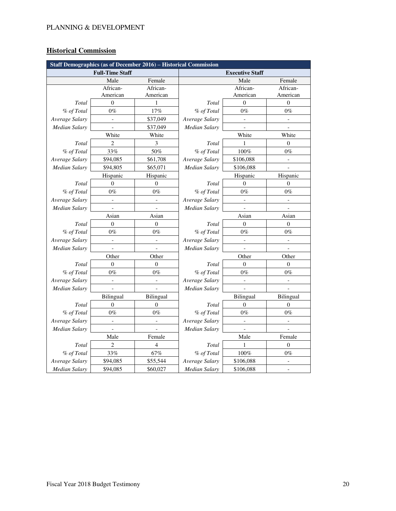# **Historical Commission**

| Staff Demographics (as of December 2016) - Historical Commission |                        |                          |                |                        |                          |
|------------------------------------------------------------------|------------------------|--------------------------|----------------|------------------------|--------------------------|
|                                                                  | <b>Full-Time Staff</b> |                          |                | <b>Executive Staff</b> |                          |
|                                                                  | Male                   | Female                   |                | Male                   | Female                   |
|                                                                  | African-               | African-                 |                | African-               | African-                 |
|                                                                  | American               | American                 |                | American               | American                 |
| Total                                                            | $\mathbf{0}$           | $\mathbf{1}$             | Total          | $\theta$               | $\mathbf{0}$             |
| % of Total                                                       | $0\%$                  | 17%                      | % of Total     | $0\%$                  | $0\%$                    |
| Average Salary                                                   | $\overline{a}$         | \$37,049                 | Average Salary | $\overline{a}$         | $\overline{\phantom{0}}$ |
| <b>Median Salary</b>                                             |                        | \$37,049                 | Median Salary  |                        |                          |
|                                                                  | White                  | White                    |                | White                  | White                    |
| Total                                                            | $\overline{c}$         | 3                        | Total          | $\mathbf{1}$           | $\mathbf{0}$             |
| % of Total                                                       | 33%                    | 50%                      | % of Total     | 100%                   | $0\%$                    |
| Average Salary                                                   | \$94,085               | \$61,708                 | Average Salary | \$106,088              |                          |
| <b>Median Salary</b>                                             | \$94,805               | \$65,071                 | Median Salary  | \$106,088              |                          |
|                                                                  | Hispanic               | Hispanic                 |                | Hispanic               | Hispanic                 |
| Total                                                            | $\mathbf{0}$           | $\overline{0}$           | Total          | $\theta$               | $\mathbf{0}$             |
| % of Total                                                       | $0\%$                  | $0\%$                    | % of Total     | $0\%$                  | $0\%$                    |
| Average Salary                                                   | $\overline{a}$         | $\blacksquare$           | Average Salary |                        | $\overline{a}$           |
| <b>Median Salary</b>                                             |                        |                          | Median Salary  |                        |                          |
|                                                                  | Asian                  | Asian                    |                | Asian                  | Asian                    |
| Total                                                            | $\mathbf{0}$           | $\overline{0}$           | Total          | $\theta$               | $\mathbf{0}$             |
| % of Total                                                       | $0\%$                  | $0\%$                    | % of Total     | $0\%$                  | $0\%$                    |
| Average Salary                                                   |                        | $\overline{a}$           | Average Salary |                        |                          |
| Median Salary                                                    |                        |                          | Median Salary  |                        |                          |
|                                                                  | Other                  | Other                    |                | Other                  | Other                    |
| Total                                                            | $\Omega$               | $\theta$                 | Total          | $\Omega$               | $\theta$                 |
| % of Total                                                       | $0\%$                  | $0\%$                    | % of Total     | $0\%$                  | $0\%$                    |
| Average Salary                                                   | $\overline{a}$         | $\overline{\phantom{a}}$ | Average Salary | $\overline{a}$         | $\overline{a}$           |
| Median Salary                                                    |                        |                          | Median Salary  |                        |                          |
|                                                                  | Bilingual              | Bilingual                |                | Bilingual              | Bilingual                |
| Total                                                            | $\overline{0}$         | $\theta$                 | Total          | $\Omega$               | $\overline{0}$           |
| % of Total                                                       | $0\%$                  | $0\%$                    | % of Total     | $0\%$                  | $0\%$                    |
| Average Salary                                                   | $\overline{a}$         | $\overline{a}$           | Average Salary | $\overline{a}$         |                          |
| <b>Median Salary</b>                                             |                        |                          | Median Salary  |                        |                          |
|                                                                  | Male                   | Female                   |                | Male                   | Female                   |
| Total                                                            | $\overline{c}$         | $\overline{4}$           | Total          | $\mathbf{1}$           | $\mathbf{0}$             |
| % of Total                                                       | 33%                    | 67%                      | % of Total     | 100%                   | $0\%$                    |
| Average Salary                                                   | \$94,085               | \$55,544                 | Average Salary | \$106,088              |                          |
| Median Salary                                                    | \$94,085               | \$60,027                 | Median Salary  | \$106,088              | $\overline{a}$           |